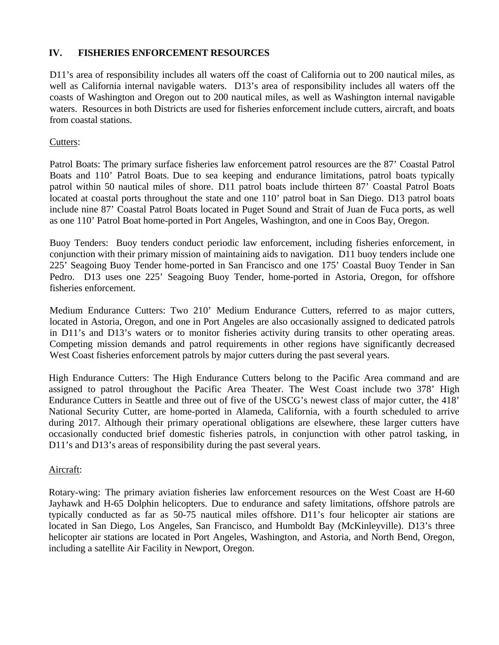## **IV. FISHERIES ENFORCEMENT RESOURCES**

D11's area of responsibility includes all waters off the coast of California out to 200 nautical miles, as well as California internal navigable waters. D13's area of responsibility includes all waters off the coasts of Washington and Oregon out to 200 nautical miles, as well as Washington internal navigable waters. Resources in both Districts are used for fisheries enforcement include cutters, aircraft, and boats from coastal stations.

### Cutters:

Patrol Boats: The primary surface fisheries law enforcement patrol resources are the 87' Coastal Patrol Boats and 110' Patrol Boats. Due to sea keeping and endurance limitations, patrol boats typically patrol within 50 nautical miles of shore. D11 patrol boats include thirteen 87' Coastal Patrol Boats located at coastal ports throughout the state and one 110' patrol boat in San Diego. D13 patrol boats include nine 87' Coastal Patrol Boats located in Puget Sound and Strait of Juan de Fuca ports, as well as one 110' Patrol Boat home-ported in Port Angeles, Washington, and one in Coos Bay, Oregon.

Buoy Tenders: Buoy tenders conduct periodic law enforcement, including fisheries enforcement, in conjunction with their primary mission of maintaining aids to navigation. D11 buoy tenders include one 225' Seagoing Buoy Tender home-ported in San Francisco and one 175' Coastal Buoy Tender in San Pedro. D13 uses one 225' Seagoing Buoy Tender, home-ported in Astoria, Oregon, for offshore fisheries enforcement.

Medium Endurance Cutters: Two 210' Medium Endurance Cutters, referred to as major cutters, located in Astoria, Oregon, and one in Port Angeles are also occasionally assigned to dedicated patrols in D11's and D13's waters or to monitor fisheries activity during transits to other operating areas. Competing mission demands and patrol requirements in other regions have significantly decreased West Coast fisheries enforcement patrols by major cutters during the past several years.

High Endurance Cutters: The High Endurance Cutters belong to the Pacific Area command and are assigned to patrol throughout the Pacific Area Theater. The West Coast include two 378' High Endurance Cutters in Seattle and three out of five of the USCG's newest class of major cutter, the 418' National Security Cutter, are home-ported in Alameda, California, with a fourth scheduled to arrive during 2017. Although their primary operational obligations are elsewhere, these larger cutters have occasionally conducted brief domestic fisheries patrols, in conjunction with other patrol tasking, in D11's and D13's areas of responsibility during the past several years.

### Aircraft:

Rotary-wing: The primary aviation fisheries law enforcement resources on the West Coast are H-60 Jayhawk and H-65 Dolphin helicopters. Due to endurance and safety limitations, offshore patrols are typically conducted as far as 50-75 nautical miles offshore. D11's four helicopter air stations are located in San Diego, Los Angeles, San Francisco, and Humboldt Bay (McKinleyville). D13's three helicopter air stations are located in Port Angeles, Washington, and Astoria, and North Bend, Oregon, including a satellite Air Facility in Newport, Oregon.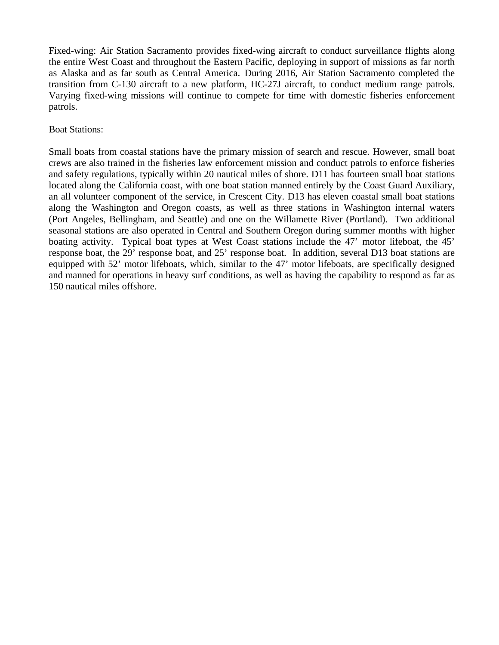Fixed-wing: Air Station Sacramento provides fixed-wing aircraft to conduct surveillance flights along the entire West Coast and throughout the Eastern Pacific, deploying in support of missions as far north as Alaska and as far south as Central America. During 2016, Air Station Sacramento completed the transition from C-130 aircraft to a new platform, HC-27J aircraft, to conduct medium range patrols. Varying fixed-wing missions will continue to compete for time with domestic fisheries enforcement patrols.

#### **Boat Stations:**

Small boats from coastal stations have the primary mission of search and rescue. However, small boat crews are also trained in the fisheries law enforcement mission and conduct patrols to enforce fisheries and safety regulations, typically within 20 nautical miles of shore. D11 has fourteen small boat stations located along the California coast, with one boat station manned entirely by the Coast Guard Auxiliary, an all volunteer component of the service, in Crescent City. D13 has eleven coastal small boat stations along the Washington and Oregon coasts, as well as three stations in Washington internal waters (Port Angeles, Bellingham, and Seattle) and one on the Willamette River (Portland). Two additional seasonal stations are also operated in Central and Southern Oregon during summer months with higher boating activity. Typical boat types at West Coast stations include the 47' motor lifeboat, the 45' response boat, the 29' response boat, and 25' response boat. In addition, several D13 boat stations are equipped with 52' motor lifeboats, which, similar to the 47' motor lifeboats, are specifically designed and manned for operations in heavy surf conditions, as well as having the capability to respond as far as 150 nautical miles offshore.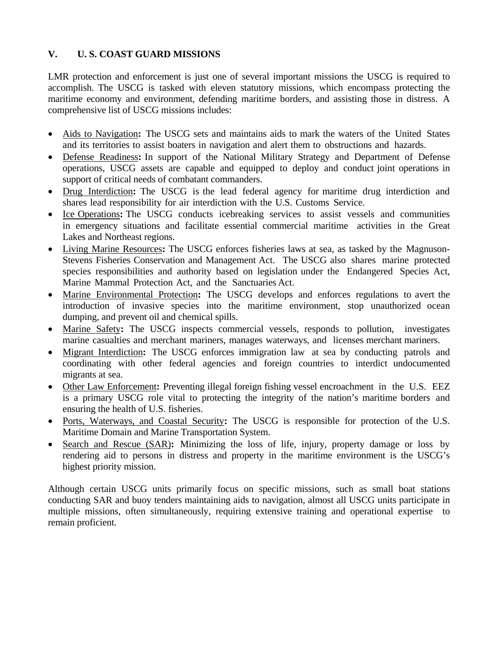## **V. U. S. COAST GUARD MISSIONS**

LMR protection and enforcement is just one of several important missions the USCG is required to accomplish. The USCG is tasked with eleven statutory missions, which encompass protecting the maritime economy and environment, defending maritime borders, and assisting those in distress. A comprehensive list of USCG missions includes:

- Aids to Navigation**:** The USCG sets and maintains aids to mark the waters of the United States and its territories to assist boaters in navigation and alert them to obstructions and hazards.
- Defense Readiness**:** In support of the National Military Strategy and Department of Defense operations, USCG assets are capable and equipped to deploy and conduct joint operations in support of critical needs of combatant commanders.
- Drug Interdiction**:** The USCG is the lead federal agency for maritime drug interdiction and shares lead responsibility for air interdiction with the U.S. Customs Service.
- Ice Operations**:** The USCG conducts icebreaking services to assist vessels and communities in emergency situations and facilitate essential commercial maritime activities in the Great Lakes and Northeast regions.
- Living Marine Resources**:** The USCG enforces fisheries laws at sea, as tasked by the Magnuson-Stevens Fisheries Conservation and Management Act. The USCG also shares marine protected species responsibilities and authority based on legislation under the Endangered Species Act, Marine Mammal Protection Act, and the Sanctuaries Act.
- Marine Environmental Protection**:** The USCG develops and enforces regulations to avert the introduction of invasive species into the maritime environment, stop unauthorized ocean dumping, and prevent oil and chemical spills.
- Marine Safety**:** The USCG inspects commercial vessels, responds to pollution, investigates marine casualties and merchant mariners, manages waterways, and licenses merchant mariners.
- Migrant Interdiction**:** The USCG enforces immigration law at sea by conducting patrols and coordinating with other federal agencies and foreign countries to interdict undocumented migrants at sea.
- Other Law Enforcement: Preventing illegal foreign fishing vessel encroachment in the U.S. EEZ is a primary USCG role vital to protecting the integrity of the nation's maritime borders and ensuring the health of U.S. fisheries.
- Ports, Waterways, and Coastal Security**:** The USCG is responsible for protection of the U.S. Maritime Domain and Marine Transportation System.
- Search and Rescue (SAR)**:** Minimizing the loss of life, injury, property damage or loss by rendering aid to persons in distress and property in the maritime environment is the USCG's highest priority mission.

Although certain USCG units primarily focus on specific missions, such as small boat stations conducting SAR and buoy tenders maintaining aids to navigation, almost all USCG units participate in multiple missions, often simultaneously, requiring extensive training and operational expertise to remain proficient.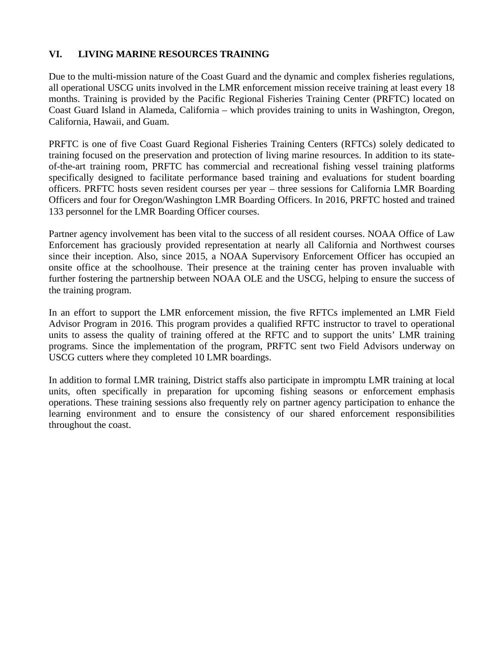## **VI. LIVING MARINE RESOURCES TRAINING**

Due to the multi-mission nature of the Coast Guard and the dynamic and complex fisheries regulations, all operational USCG units involved in the LMR enforcement mission receive training at least every 18 months. Training is provided by the Pacific Regional Fisheries Training Center (PRFTC) located on Coast Guard Island in Alameda, California – which provides training to units in Washington, Oregon, California, Hawaii, and Guam.

PRFTC is one of five Coast Guard Regional Fisheries Training Centers (RFTCs) solely dedicated to training focused on the preservation and protection of living marine resources. In addition to its stateof-the-art training room, PRFTC has commercial and recreational fishing vessel training platforms specifically designed to facilitate performance based training and evaluations for student boarding officers. PRFTC hosts seven resident courses per year – three sessions for California LMR Boarding Officers and four for Oregon/Washington LMR Boarding Officers. In 2016, PRFTC hosted and trained 133 personnel for the LMR Boarding Officer courses.

Partner agency involvement has been vital to the success of all resident courses. NOAA Office of Law Enforcement has graciously provided representation at nearly all California and Northwest courses since their inception. Also, since 2015, a NOAA Supervisory Enforcement Officer has occupied an onsite office at the schoolhouse. Their presence at the training center has proven invaluable with further fostering the partnership between NOAA OLE and the USCG, helping to ensure the success of the training program.

In an effort to support the LMR enforcement mission, the five RFTCs implemented an LMR Field Advisor Program in 2016. This program provides a qualified RFTC instructor to travel to operational units to assess the quality of training offered at the RFTC and to support the units' LMR training programs. Since the implementation of the program, PRFTC sent two Field Advisors underway on USCG cutters where they completed 10 LMR boardings.

In addition to formal LMR training, District staffs also participate in impromptu LMR training at local units, often specifically in preparation for upcoming fishing seasons or enforcement emphasis operations. These training sessions also frequently rely on partner agency participation to enhance the learning environment and to ensure the consistency of our shared enforcement responsibilities throughout the coast.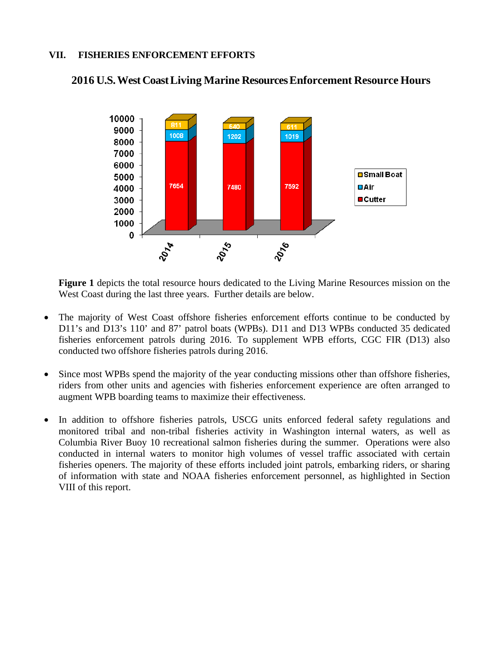## **VII. FISHERIES ENFORCEMENT EFFORTS**



## **2016 U.S.WestCoastLiving Marine ResourcesEnforcement Resource Hours**

**Figure 1** depicts the total resource hours dedicated to the Living Marine Resources mission on the West Coast during the last three years. Further details are below.

- The majority of West Coast offshore fisheries enforcement efforts continue to be conducted by D11's and D13's 110' and 87' patrol boats (WPBs). D11 and D13 WPBs conducted 35 dedicated fisheries enforcement patrols during 2016. To supplement WPB efforts, CGC FIR (D13) also conducted two offshore fisheries patrols during 2016.
- Since most WPBs spend the majority of the year conducting missions other than offshore fisheries, riders from other units and agencies with fisheries enforcement experience are often arranged to augment WPB boarding teams to maximize their effectiveness.
- In addition to offshore fisheries patrols, USCG units enforced federal safety regulations and monitored tribal and non-tribal fisheries activity in Washington internal waters, as well as Columbia River Buoy 10 recreational salmon fisheries during the summer. Operations were also conducted in internal waters to monitor high volumes of vessel traffic associated with certain fisheries openers. The majority of these efforts included joint patrols, embarking riders, or sharing of information with state and NOAA fisheries enforcement personnel, as highlighted in Section VIII of this report.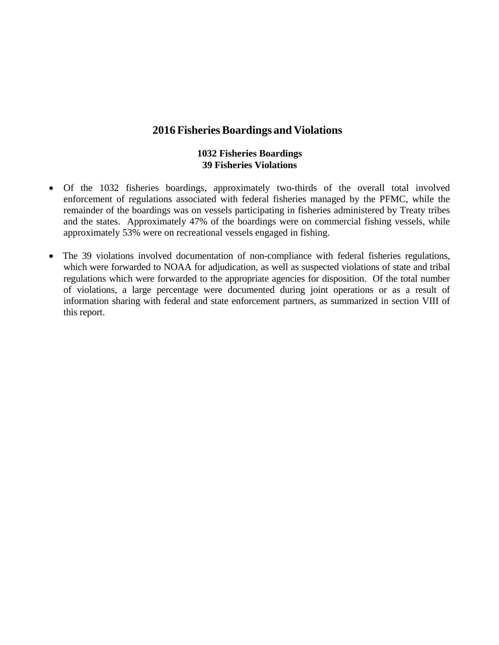## **2016 FisheriesBoardings and Violations**

#### **1032 Fisheries Boardings 39 Fisheries Violations**

- Of the 1032 fisheries boardings, approximately two-thirds of the overall total involved enforcement of regulations associated with federal fisheries managed by the PFMC, while the remainder of the boardings was on vessels participating in fisheries administered by Treaty tribes and the states. Approximately 47% of the boardings were on commercial fishing vessels, while approximately 53% were on recreational vessels engaged in fishing.
- The 39 violations involved documentation of non-compliance with federal fisheries regulations, which were forwarded to NOAA for adjudication, as well as suspected violations of state and tribal regulations which were forwarded to the appropriate agencies for disposition. Of the total number of violations, a large percentage were documented during joint operations or as a result of information sharing with federal and state enforcement partners, as summarized in section VIII of this report.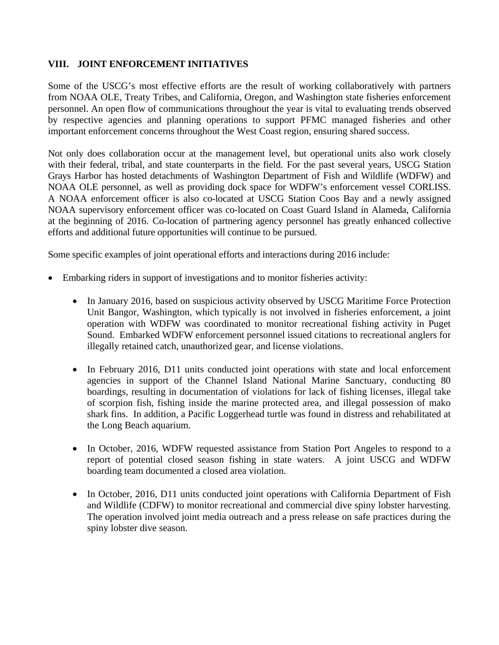## **VIII. JOINT ENFORCEMENT INITIATIVES**

Some of the USCG's most effective efforts are the result of working collaboratively with partners from NOAA OLE, Treaty Tribes, and California, Oregon, and Washington state fisheries enforcement personnel. An open flow of communications throughout the year is vital to evaluating trends observed by respective agencies and planning operations to support PFMC managed fisheries and other important enforcement concerns throughout the West Coast region, ensuring shared success.

Not only does collaboration occur at the management level, but operational units also work closely with their federal, tribal, and state counterparts in the field. For the past several years, USCG Station Grays Harbor has hosted detachments of Washington Department of Fish and Wildlife (WDFW) and NOAA OLE personnel, as well as providing dock space for WDFW's enforcement vessel CORLISS. A NOAA enforcement officer is also co-located at USCG Station Coos Bay and a newly assigned NOAA supervisory enforcement officer was co-located on Coast Guard Island in Alameda, California at the beginning of 2016. Co-location of partnering agency personnel has greatly enhanced collective efforts and additional future opportunities will continue to be pursued.

Some specific examples of joint operational efforts and interactions during 2016 include:

- Embarking riders in support of investigations and to monitor fisheries activity:
	- In January 2016, based on suspicious activity observed by USCG Maritime Force Protection Unit Bangor, Washington, which typically is not involved in fisheries enforcement, a joint operation with WDFW was coordinated to monitor recreational fishing activity in Puget Sound. Embarked WDFW enforcement personnel issued citations to recreational anglers for illegally retained catch, unauthorized gear, and license violations.
	- In February 2016, D11 units conducted joint operations with state and local enforcement agencies in support of the Channel Island National Marine Sanctuary, conducting 80 boardings, resulting in documentation of violations for lack of fishing licenses, illegal take of scorpion fish, fishing inside the marine protected area, and illegal possession of mako shark fins. In addition, a Pacific Loggerhead turtle was found in distress and rehabilitated at the Long Beach aquarium.
	- In October, 2016, WDFW requested assistance from Station Port Angeles to respond to a report of potential closed season fishing in state waters. A joint USCG and WDFW boarding team documented a closed area violation.
	- In October, 2016, D11 units conducted joint operations with California Department of Fish and Wildlife (CDFW) to monitor recreational and commercial dive spiny lobster harvesting. The operation involved joint media outreach and a press release on safe practices during the spiny lobster dive season.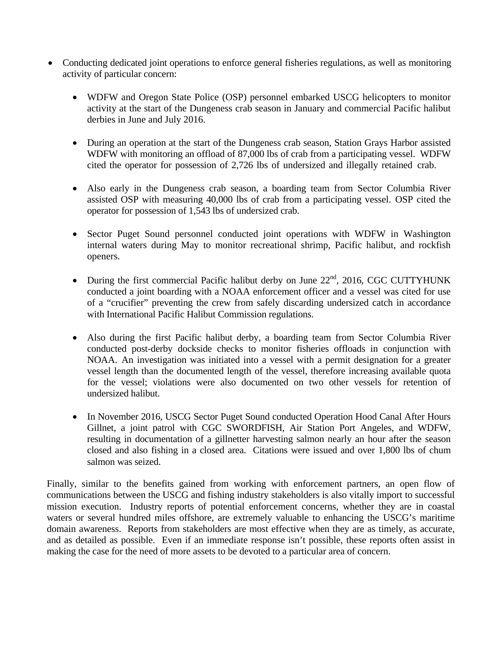- Conducting dedicated joint operations to enforce general fisheries regulations, as well as monitoring activity of particular concern:
	- WDFW and Oregon State Police (OSP) personnel embarked USCG helicopters to monitor activity at the start of the Dungeness crab season in January and commercial Pacific halibut derbies in June and July 2016.
	- During an operation at the start of the Dungeness crab season, Station Grays Harbor assisted WDFW with monitoring an offload of 87,000 lbs of crab from a participating vessel. WDFW cited the operator for possession of 2,726 lbs of undersized and illegally retained crab.
	- Also early in the Dungeness crab season, a boarding team from Sector Columbia River assisted OSP with measuring 40,000 lbs of crab from a participating vessel. OSP cited the operator for possession of 1,543 lbs of undersized crab.
	- Sector Puget Sound personnel conducted joint operations with WDFW in Washington internal waters during May to monitor recreational shrimp, Pacific halibut, and rockfish openers.
	- During the first commercial Pacific halibut derby on June  $22<sup>nd</sup>$ , 2016, CGC CUTTYHUNK conducted a joint boarding with a NOAA enforcement officer and a vessel was cited for use of a "crucifier" preventing the crew from safely discarding undersized catch in accordance with International Pacific Halibut Commission regulations.
	- Also during the first Pacific halibut derby, a boarding team from Sector Columbia River conducted post-derby dockside checks to monitor fisheries offloads in conjunction with NOAA. An investigation was initiated into a vessel with a permit designation for a greater vessel length than the documented length of the vessel, therefore increasing available quota for the vessel; violations were also documented on two other vessels for retention of undersized halibut.
	- In November 2016, USCG Sector Puget Sound conducted Operation Hood Canal After Hours Gillnet, a joint patrol with CGC SWORDFISH, Air Station Port Angeles, and WDFW, resulting in documentation of a gillnetter harvesting salmon nearly an hour after the season closed and also fishing in a closed area. Citations were issued and over 1,800 lbs of chum salmon was seized.

Finally, similar to the benefits gained from working with enforcement partners, an open flow of communications between the USCG and fishing industry stakeholders is also vitally import to successful mission execution. Industry reports of potential enforcement concerns, whether they are in coastal waters or several hundred miles offshore, are extremely valuable to enhancing the USCG's maritime domain awareness. Reports from stakeholders are most effective when they are as timely, as accurate, and as detailed as possible. Even if an immediate response isn't possible, these reports often assist in making the case for the need of more assets to be devoted to a particular area of concern.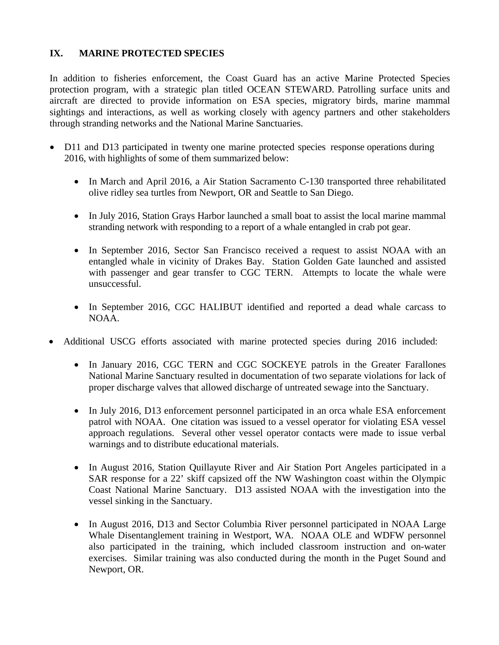## **IX. MARINE PROTECTED SPECIES**

In addition to fisheries enforcement, the Coast Guard has an active Marine Protected Species protection program, with a strategic plan titled OCEAN STEWARD. Patrolling surface units and aircraft are directed to provide information on ESA species, migratory birds, marine mammal sightings and interactions, as well as working closely with agency partners and other stakeholders through stranding networks and the National Marine Sanctuaries.

- D11 and D13 participated in twenty one marine protected species response operations during 2016, with highlights of some of them summarized below:
	- In March and April 2016, a Air Station Sacramento C-130 transported three rehabilitated olive ridley sea turtles from Newport, OR and Seattle to San Diego.
	- In July 2016, Station Grays Harbor launched a small boat to assist the local marine mammal stranding network with responding to a report of a whale entangled in crab pot gear.
	- In September 2016, Sector San Francisco received a request to assist NOAA with an entangled whale in vicinity of Drakes Bay. Station Golden Gate launched and assisted with passenger and gear transfer to CGC TERN. Attempts to locate the whale were unsuccessful.
	- In September 2016, CGC HALIBUT identified and reported a dead whale carcass to NOAA.
- Additional USCG efforts associated with marine protected species during 2016 included:
	- In January 2016, CGC TERN and CGC SOCKEYE patrols in the Greater Farallones National Marine Sanctuary resulted in documentation of two separate violations for lack of proper discharge valves that allowed discharge of untreated sewage into the Sanctuary.
	- In July 2016, D13 enforcement personnel participated in an orca whale ESA enforcement patrol with NOAA. One citation was issued to a vessel operator for violating ESA vessel approach regulations. Several other vessel operator contacts were made to issue verbal warnings and to distribute educational materials.
	- In August 2016, Station Quillayute River and Air Station Port Angeles participated in a SAR response for a 22' skiff capsized off the NW Washington coast within the Olympic Coast National Marine Sanctuary. D13 assisted NOAA with the investigation into the vessel sinking in the Sanctuary.
	- In August 2016, D13 and Sector Columbia River personnel participated in NOAA Large Whale Disentanglement training in Westport, WA. NOAA OLE and WDFW personnel also participated in the training, which included classroom instruction and on-water exercises. Similar training was also conducted during the month in the Puget Sound and Newport, OR.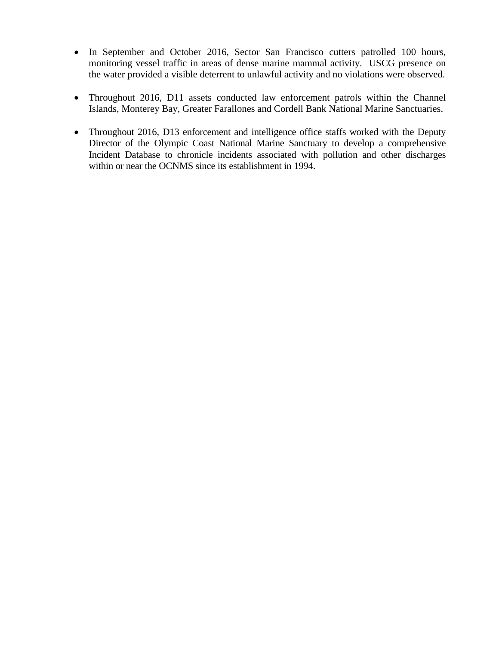- In September and October 2016, Sector San Francisco cutters patrolled 100 hours, monitoring vessel traffic in areas of dense marine mammal activity. USCG presence on the water provided a visible deterrent to unlawful activity and no violations were observed.
- Throughout 2016, D11 assets conducted law enforcement patrols within the Channel Islands, Monterey Bay, Greater Farallones and Cordell Bank National Marine Sanctuaries.
- Throughout 2016, D13 enforcement and intelligence office staffs worked with the Deputy Director of the Olympic Coast National Marine Sanctuary to develop a comprehensive Incident Database to chronicle incidents associated with pollution and other discharges within or near the OCNMS since its establishment in 1994.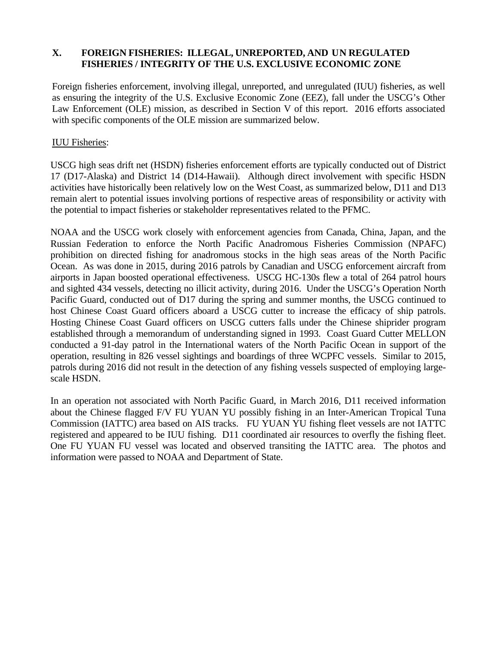## **X. FOREIGN FISHERIES: ILLEGAL, UNREPORTED, AND UN REGULATED FISHERIES / INTEGRITY OF THE U.S. EXCLUSIVE ECONOMIC ZONE**

Foreign fisheries enforcement, involving illegal, unreported, and unregulated (IUU) fisheries, as well as ensuring the integrity of the U.S. Exclusive Economic Zone (EEZ), fall under the USCG's Other Law Enforcement (OLE) mission, as described in Section V of this report. 2016 efforts associated with specific components of the OLE mission are summarized below.

## IUU Fisheries:

USCG high seas drift net (HSDN) fisheries enforcement efforts are typically conducted out of District 17 (D17-Alaska) and District 14 (D14-Hawaii). Although direct involvement with specific HSDN activities have historically been relatively low on the West Coast, as summarized below, D11 and D13 remain alert to potential issues involving portions of respective areas of responsibility or activity with the potential to impact fisheries or stakeholder representatives related to the PFMC.

NOAA and the USCG work closely with enforcement agencies from Canada, China, Japan, and the Russian Federation to enforce the North Pacific Anadromous Fisheries Commission (NPAFC) prohibition on directed fishing for anadromous stocks in the high seas areas of the North Pacific Ocean. As was done in 2015, during 2016 patrols by Canadian and USCG enforcement aircraft from airports in Japan boosted operational effectiveness. USCG HC-130s flew a total of 264 patrol hours and sighted 434 vessels, detecting no illicit activity, during 2016. Under the USCG's Operation North Pacific Guard, conducted out of D17 during the spring and summer months, the USCG continued to host Chinese Coast Guard officers aboard a USCG cutter to increase the efficacy of ship patrols. Hosting Chinese Coast Guard officers on USCG cutters falls under the Chinese shiprider program established through a memorandum of understanding signed in 1993. Coast Guard Cutter MELLON conducted a 91-day patrol in the International waters of the North Pacific Ocean in support of the operation, resulting in 826 vessel sightings and boardings of three WCPFC vessels. Similar to 2015, patrols during 2016 did not result in the detection of any fishing vessels suspected of employing largescale HSDN.

In an operation not associated with North Pacific Guard, in March 2016, D11 received information about the Chinese flagged F/V FU YUAN YU possibly fishing in an Inter-American Tropical Tuna Commission (IATTC) area based on AIS tracks. FU YUAN YU fishing fleet vessels are not IATTC registered and appeared to be IUU fishing. D11 coordinated air resources to overfly the fishing fleet. One FU YUAN FU vessel was located and observed transiting the IATTC area. The photos and information were passed to NOAA and Department of State.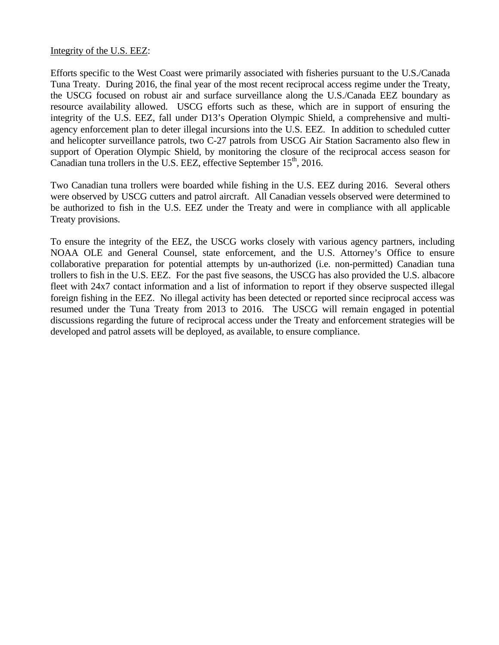#### Integrity of the U.S. EEZ:

Efforts specific to the West Coast were primarily associated with fisheries pursuant to the U.S./Canada Tuna Treaty. During 2016, the final year of the most recent reciprocal access regime under the Treaty, the USCG focused on robust air and surface surveillance along the U.S./Canada EEZ boundary as resource availability allowed. USCG efforts such as these, which are in support of ensuring the integrity of the U.S. EEZ, fall under D13's Operation Olympic Shield, a comprehensive and multiagency enforcement plan to deter illegal incursions into the U.S. EEZ. In addition to scheduled cutter and helicopter surveillance patrols, two C-27 patrols from USCG Air Station Sacramento also flew in support of Operation Olympic Shield, by monitoring the closure of the reciprocal access season for Canadian tuna trollers in the U.S. EEZ, effective September  $15<sup>th</sup>$ , 2016.

Two Canadian tuna trollers were boarded while fishing in the U.S. EEZ during 2016. Several others were observed by USCG cutters and patrol aircraft. All Canadian vessels observed were determined to be authorized to fish in the U.S. EEZ under the Treaty and were in compliance with all applicable Treaty provisions.

To ensure the integrity of the EEZ, the USCG works closely with various agency partners, including NOAA OLE and General Counsel, state enforcement, and the U.S. Attorney's Office to ensure collaborative preparation for potential attempts by un-authorized (i.e. non-permitted) Canadian tuna trollers to fish in the U.S. EEZ. For the past five seasons, the USCG has also provided the U.S. albacore fleet with 24x7 contact information and a list of information to report if they observe suspected illegal foreign fishing in the EEZ. No illegal activity has been detected or reported since reciprocal access was resumed under the Tuna Treaty from 2013 to 2016. The USCG will remain engaged in potential discussions regarding the future of reciprocal access under the Treaty and enforcement strategies will be developed and patrol assets will be deployed, as available, to ensure compliance.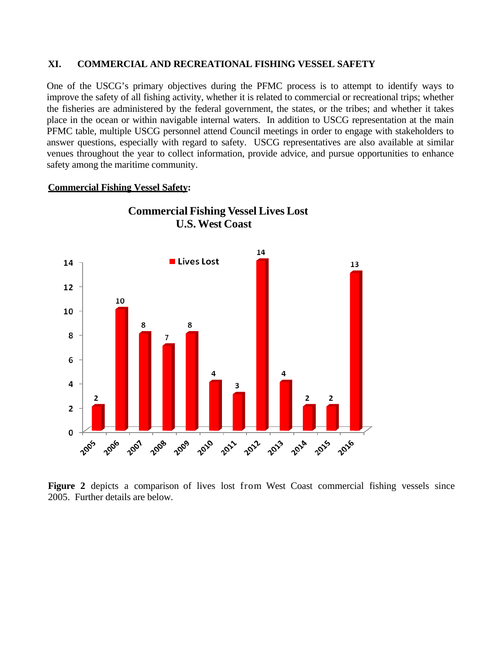#### **XI. COMMERCIAL AND RECREATIONAL FISHING VESSEL SAFETY**

One of the USCG's primary objectives during the PFMC process is to attempt to identify ways to improve the safety of all fishing activity, whether it is related to commercial or recreational trips; whether the fisheries are administered by the federal government, the states, or the tribes; and whether it takes place in the ocean or within navigable internal waters. In addition to USCG representation at the main PFMC table, multiple USCG personnel attend Council meetings in order to engage with stakeholders to answer questions, especially with regard to safety. USCG representatives are also available at similar venues throughout the year to collect information, provide advice, and pursue opportunities to enhance safety among the maritime community.

#### **Commercial Fishing Vessel Safety:**



**Commercial Fishing Vessel Lives Lost U.S.West Coast**

Figure 2 depicts a comparison of lives lost from West Coast commercial fishing vessels since 2005. Further details are below.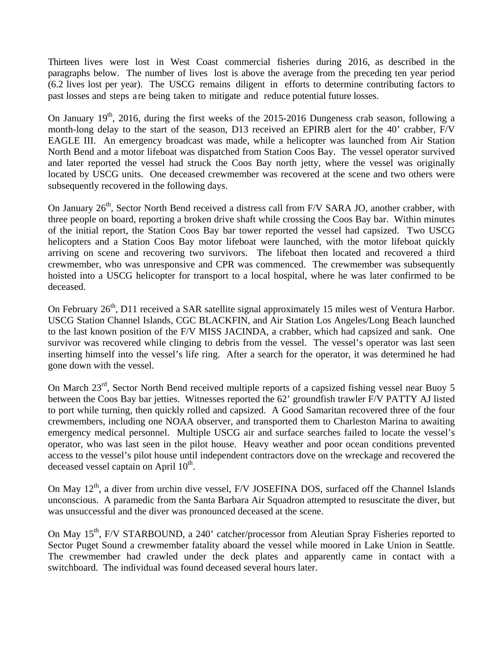Thirteen lives were lost in West Coast commercial fisheries during 2016, as described in the paragraphs below. The number of lives lost is above the average from the preceding ten year period (6.2 lives lost per year). The USCG remains diligent in efforts to determine contributing factors to past losses and steps are being taken to mitigate and reduce potential future losses.

On January  $19<sup>th</sup>$ , 2016, during the first weeks of the 2015-2016 Dungeness crab season, following a month-long delay to the start of the season, D13 received an EPIRB alert for the 40' crabber, F/V EAGLE III. An emergency broadcast was made, while a helicopter was launched from Air Station North Bend and a motor lifeboat was dispatched from Station Coos Bay. The vessel operator survived and later reported the vessel had struck the Coos Bay north jetty, where the vessel was originally located by USCG units. One deceased crewmember was recovered at the scene and two others were subsequently recovered in the following days.

On January 26<sup>th</sup>, Sector North Bend received a distress call from F/V SARA JO, another crabber, with three people on board, reporting a broken drive shaft while crossing the Coos Bay bar. Within minutes of the initial report, the Station Coos Bay bar tower reported the vessel had capsized. Two USCG helicopters and a Station Coos Bay motor lifeboat were launched, with the motor lifeboat quickly arriving on scene and recovering two survivors. The lifeboat then located and recovered a third crewmember, who was unresponsive and CPR was commenced. The crewmember was subsequently hoisted into a USCG helicopter for transport to a local hospital, where he was later confirmed to be deceased.

On February 26<sup>th</sup>, D11 received a SAR satellite signal approximately 15 miles west of Ventura Harbor. USCG Station Channel Islands, CGC BLACKFIN, and Air Station Los Angeles/Long Beach launched to the last known position of the F/V MISS JACINDA, a crabber, which had capsized and sank. One survivor was recovered while clinging to debris from the vessel. The vessel's operator was last seen inserting himself into the vessel's life ring. After a search for the operator, it was determined he had gone down with the vessel.

On March 23rd, Sector North Bend received multiple reports of a capsized fishing vessel near Buoy 5 between the Coos Bay bar jetties. Witnesses reported the 62' groundfish trawler F/V PATTY AJ listed to port while turning, then quickly rolled and capsized. A Good Samaritan recovered three of the four crewmembers, including one NOAA observer, and transported them to Charleston Marina to awaiting emergency medical personnel. Multiple USCG air and surface searches failed to locate the vessel's operator, who was last seen in the pilot house. Heavy weather and poor ocean conditions prevented access to the vessel's pilot house until independent contractors dove on the wreckage and recovered the deceased vessel captain on April  $10^{th}$ .

On May  $12<sup>th</sup>$ , a diver from urchin dive vessel, F/V JOSEFINA DOS, surfaced off the Channel Islands unconscious. A paramedic from the Santa Barbara Air Squadron attempted to resuscitate the diver, but was unsuccessful and the diver was pronounced deceased at the scene.

On May 15<sup>th</sup>, F/V STARBOUND, a 240' catcher/processor from Aleutian Spray Fisheries reported to Sector Puget Sound a crewmember fatality aboard the vessel while moored in Lake Union in Seattle. The crewmember had crawled under the deck plates and apparently came in contact with a switchboard. The individual was found deceased several hours later.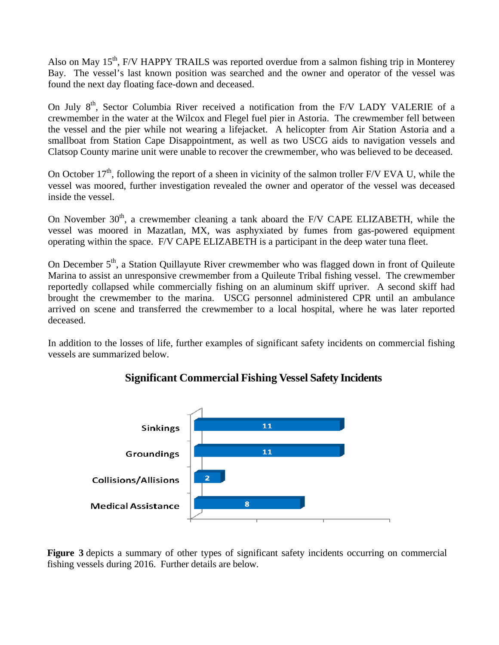Also on May  $15<sup>th</sup>$ , F/V HAPPY TRAILS was reported overdue from a salmon fishing trip in Monterey Bay. The vessel's last known position was searched and the owner and operator of the vessel was found the next day floating face-down and deceased.

On July 8<sup>th</sup>, Sector Columbia River received a notification from the F/V LADY VALERIE of a crewmember in the water at the Wilcox and Flegel fuel pier in Astoria. The crewmember fell between the vessel and the pier while not wearing a lifejacket. A helicopter from Air Station Astoria and a smallboat from Station Cape Disappointment, as well as two USCG aids to navigation vessels and Clatsop County marine unit were unable to recover the crewmember, who was believed to be deceased.

On October  $17<sup>th</sup>$ , following the report of a sheen in vicinity of the salmon troller F/V EVA U, while the vessel was moored, further investigation revealed the owner and operator of the vessel was deceased inside the vessel.

On November  $30<sup>th</sup>$ , a crewmember cleaning a tank aboard the F/V CAPE ELIZABETH, while the vessel was moored in Mazatlan, MX, was asphyxiated by fumes from gas-powered equipment operating within the space. F/V CAPE ELIZABETH is a participant in the deep water tuna fleet.

On December 5<sup>th</sup>, a Station Quillayute River crewmember who was flagged down in front of Quileute Marina to assist an unresponsive crewmember from a Quileute Tribal fishing vessel. The crewmember reportedly collapsed while commercially fishing on an aluminum skiff upriver. A second skiff had brought the crewmember to the marina. USCG personnel administered CPR until an ambulance arrived on scene and transferred the crewmember to a local hospital, where he was later reported deceased.

In addition to the losses of life, further examples of significant safety incidents on commercial fishing vessels are summarized below.



# **Significant Commercial Fishing Vessel Safety Incidents**

**Figure 3** depicts a summary of other types of significant safety incidents occurring on commercial fishing vessels during 2016. Further details are below.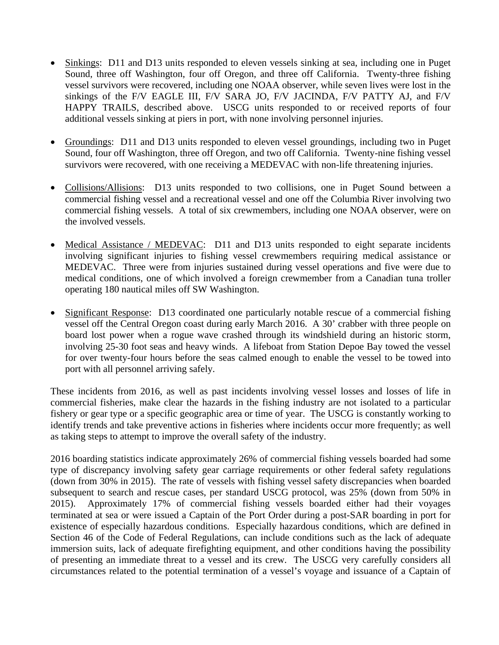- Sinkings: D11 and D13 units responded to eleven vessels sinking at sea, including one in Puget Sound, three off Washington, four off Oregon, and three off California. Twenty-three fishing vessel survivors were recovered, including one NOAA observer, while seven lives were lost in the sinkings of the F/V EAGLE III, F/V SARA JO, F/V JACINDA, F/V PATTY AJ, and F/V HAPPY TRAILS, described above. USCG units responded to or received reports of four additional vessels sinking at piers in port, with none involving personnel injuries.
- Groundings: D11 and D13 units responded to eleven vessel groundings, including two in Puget Sound, four off Washington, three off Oregon, and two off California. Twenty-nine fishing vessel survivors were recovered, with one receiving a MEDEVAC with non-life threatening injuries.
- Collisions/Allisions: D13 units responded to two collisions, one in Puget Sound between a commercial fishing vessel and a recreational vessel and one off the Columbia River involving two commercial fishing vessels. A total of six crewmembers, including one NOAA observer, were on the involved vessels.
- Medical Assistance / MEDEVAC: D11 and D13 units responded to eight separate incidents involving significant injuries to fishing vessel crewmembers requiring medical assistance or MEDEVAC. Three were from injuries sustained during vessel operations and five were due to medical conditions, one of which involved a foreign crewmember from a Canadian tuna troller operating 180 nautical miles off SW Washington.
- Significant Response: D13 coordinated one particularly notable rescue of a commercial fishing vessel off the Central Oregon coast during early March 2016. A 30' crabber with three people on board lost power when a rogue wave crashed through its windshield during an historic storm, involving 25-30 foot seas and heavy winds. A lifeboat from Station Depoe Bay towed the vessel for over twenty-four hours before the seas calmed enough to enable the vessel to be towed into port with all personnel arriving safely.

These incidents from 2016, as well as past incidents involving vessel losses and losses of life in commercial fisheries, make clear the hazards in the fishing industry are not isolated to a particular fishery or gear type or a specific geographic area or time of year. The USCG is constantly working to identify trends and take preventive actions in fisheries where incidents occur more frequently; as well as taking steps to attempt to improve the overall safety of the industry.

2016 boarding statistics indicate approximately 26% of commercial fishing vessels boarded had some type of discrepancy involving safety gear carriage requirements or other federal safety regulations (down from 30% in 2015). The rate of vessels with fishing vessel safety discrepancies when boarded subsequent to search and rescue cases, per standard USCG protocol, was 25% (down from 50% in 2015). Approximately 17% of commercial fishing vessels boarded either had their voyages terminated at sea or were issued a Captain of the Port Order during a post-SAR boarding in port for existence of especially hazardous conditions. Especially hazardous conditions, which are defined in Section 46 of the Code of Federal Regulations, can include conditions such as the lack of adequate immersion suits, lack of adequate firefighting equipment, and other conditions having the possibility of presenting an immediate threat to a vessel and its crew. The USCG very carefully considers all circumstances related to the potential termination of a vessel's voyage and issuance of a Captain of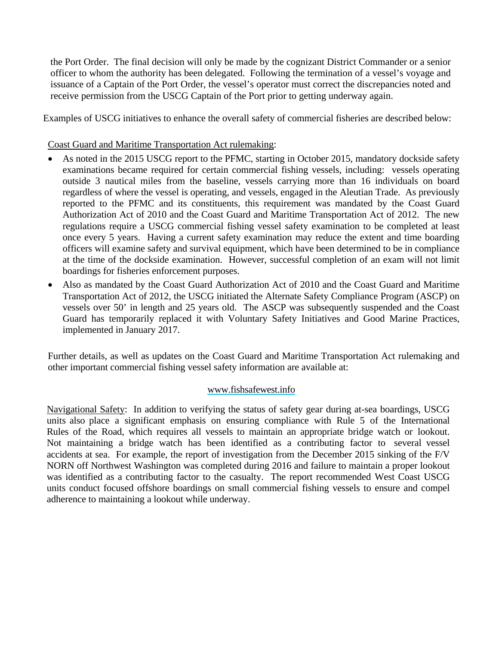the Port Order. The final decision will only be made by the cognizant District Commander or a senior officer to whom the authority has been delegated. Following the termination of a vessel's voyage and issuance of a Captain of the Port Order, the vessel's operator must correct the discrepancies noted and receive permission from the USCG Captain of the Port prior to getting underway again.

Examples of USCG initiatives to enhance the overall safety of commercial fisheries are described below:

## Coast Guard and Maritime Transportation Act rulemaking:

- As noted in the 2015 USCG report to the PFMC, starting in October 2015, mandatory dockside safety examinations became required for certain commercial fishing vessels, including: vessels operating outside 3 nautical miles from the baseline, vessels carrying more than 16 individuals on board regardless of where the vessel is operating, and vessels, engaged in the Aleutian Trade. As previously reported to the PFMC and its constituents, this requirement was mandated by the Coast Guard Authorization Act of 2010 and the Coast Guard and Maritime Transportation Act of 2012. The new regulations require a USCG commercial fishing vessel safety examination to be completed at least once every 5 years. Having a current safety examination may reduce the extent and time boarding officers will examine safety and survival equipment, which have been determined to be in compliance at the time of the dockside examination. However, successful completion of an exam will not limit boardings for fisheries enforcement purposes.
- Also as mandated by the Coast Guard Authorization Act of 2010 and the Coast Guard and Maritime Transportation Act of 2012, the USCG initiated the Alternate Safety Compliance Program (ASCP) on vessels over 50' in length and 25 years old. The ASCP was subsequently suspended and the Coast Guard has temporarily replaced it with Voluntary Safety Initiatives and Good Marine Practices, implemented in January 2017.

Further details, as well as updates on the Coast Guard and Maritime Transportation Act rulemaking and other important commercial fishing vessel safety information are available at:

### [www.fishsafewest.info](http://www.fishsafewest.info/)

Navigational Safety: In addition to verifying the status of safety gear during at-sea boardings, USCG units also place a significant emphasis on ensuring compliance with Rule 5 of the International Rules of the Road, which requires all vessels to maintain an appropriate bridge watch or lookout. Not maintaining a bridge watch has been identified as a contributing factor to several vessel accidents at sea. For example, the report of investigation from the December 2015 sinking of the F/V NORN off Northwest Washington was completed during 2016 and failure to maintain a proper lookout was identified as a contributing factor to the casualty. The report recommended West Coast USCG units conduct focused offshore boardings on small commercial fishing vessels to ensure and compel adherence to maintaining a lookout while underway.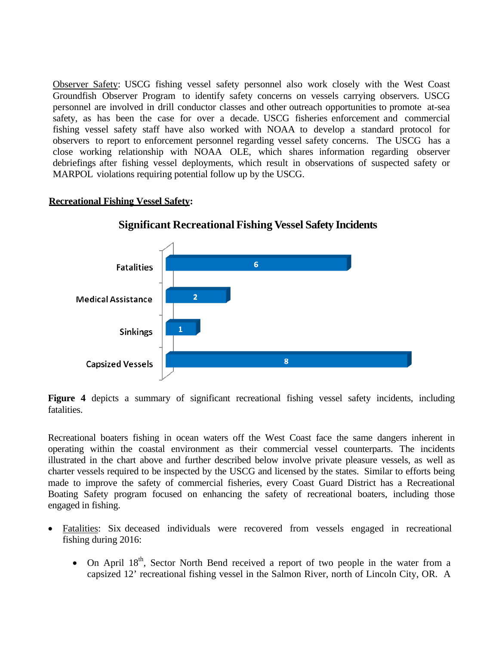Observer Safety: USCG fishing vessel safety personnel also work closely with the West Coast Groundfish Observer Program to identify safety concerns on vessels carrying observers. USCG personnel are involved in drill conductor classes and other outreach opportunities to promote at-sea safety, as has been the case for over a decade. USCG fisheries enforcement and commercial fishing vessel safety staff have also worked with NOAA to develop a standard protocol for observers to report to enforcement personnel regarding vessel safety concerns. The USCG has a close working relationship with NOAA OLE, which shares information regarding observer debriefings after fishing vessel deployments, which result in observations of suspected safety or MARPOL violations requiring potential follow up by the USCG.

## **Recreational Fishing Vessel Safety:**



**Significant Recreational Fishing Vessel Safety Incidents**

Figure 4 depicts a summary of significant recreational fishing vessel safety incidents, including fatalities.

Recreational boaters fishing in ocean waters off the West Coast face the same dangers inherent in operating within the coastal environment as their commercial vessel counterparts. The incidents illustrated in the chart above and further described below involve private pleasure vessels, as well as charter vessels required to be inspected by the USCG and licensed by the states. Similar to efforts being made to improve the safety of commercial fisheries, every Coast Guard District has a Recreational Boating Safety program focused on enhancing the safety of recreational boaters, including those engaged in fishing.

- Fatalities: Six deceased individuals were recovered from vessels engaged in recreational fishing during 2016:
	- On April  $18<sup>th</sup>$ , Sector North Bend received a report of two people in the water from a capsized 12' recreational fishing vessel in the Salmon River, north of Lincoln City, OR. A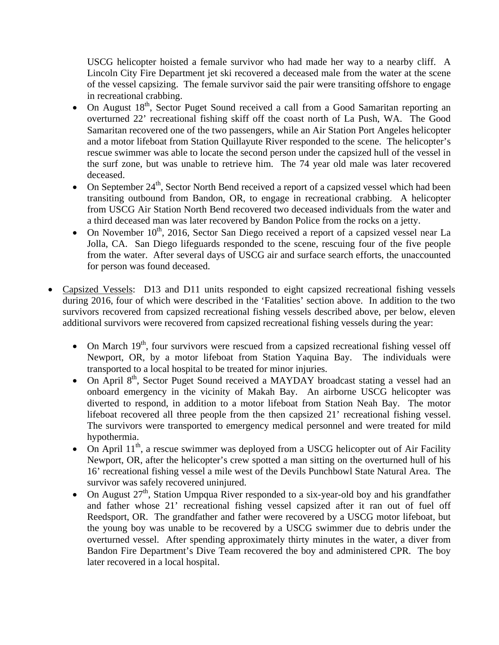USCG helicopter hoisted a female survivor who had made her way to a nearby cliff. A Lincoln City Fire Department jet ski recovered a deceased male from the water at the scene of the vessel capsizing. The female survivor said the pair were transiting offshore to engage in recreational crabbing.

- On August  $18<sup>th</sup>$ , Sector Puget Sound received a call from a Good Samaritan reporting an overturned 22' recreational fishing skiff off the coast north of La Push, WA. The Good Samaritan recovered one of the two passengers, while an Air Station Port Angeles helicopter and a motor lifeboat from Station Quillayute River responded to the scene. The helicopter's rescue swimmer was able to locate the second person under the capsized hull of the vessel in the surf zone, but was unable to retrieve him. The 74 year old male was later recovered deceased.
- On September  $24<sup>th</sup>$ , Sector North Bend received a report of a capsized vessel which had been transiting outbound from Bandon, OR, to engage in recreational crabbing. A helicopter from USCG Air Station North Bend recovered two deceased individuals from the water and a third deceased man was later recovered by Bandon Police from the rocks on a jetty.
- On November  $10^{th}$ , 2016, Sector San Diego received a report of a capsized vessel near La Jolla, CA. San Diego lifeguards responded to the scene, rescuing four of the five people from the water. After several days of USCG air and surface search efforts, the unaccounted for person was found deceased.
- Capsized Vessels: D13 and D11 units responded to eight capsized recreational fishing vessels during 2016, four of which were described in the 'Fatalities' section above. In addition to the two survivors recovered from capsized recreational fishing vessels described above, per below, eleven additional survivors were recovered from capsized recreational fishing vessels during the year:
	- On March  $19<sup>th</sup>$ , four survivors were rescued from a capsized recreational fishing vessel off Newport, OR, by a motor lifeboat from Station Yaquina Bay. The individuals were transported to a local hospital to be treated for minor injuries.
	- On April 8<sup>th</sup>, Sector Puget Sound received a MAYDAY broadcast stating a vessel had an onboard emergency in the vicinity of Makah Bay. An airborne USCG helicopter was diverted to respond, in addition to a motor lifeboat from Station Neah Bay. The motor lifeboat recovered all three people from the then capsized 21' recreational fishing vessel. The survivors were transported to emergency medical personnel and were treated for mild hypothermia.
	- On April  $11<sup>th</sup>$ , a rescue swimmer was deployed from a USCG helicopter out of Air Facility Newport, OR, after the helicopter's crew spotted a man sitting on the overturned hull of his 16' recreational fishing vessel a mile west of the Devils Punchbowl State Natural Area. The survivor was safely recovered uninjured.
	- On August  $27<sup>th</sup>$ , Station Umpqua River responded to a six-year-old boy and his grandfather and father whose 21' recreational fishing vessel capsized after it ran out of fuel off Reedsport, OR. The grandfather and father were recovered by a USCG motor lifeboat, but the young boy was unable to be recovered by a USCG swimmer due to debris under the overturned vessel. After spending approximately thirty minutes in the water, a diver from Bandon Fire Department's Dive Team recovered the boy and administered CPR. The boy later recovered in a local hospital.